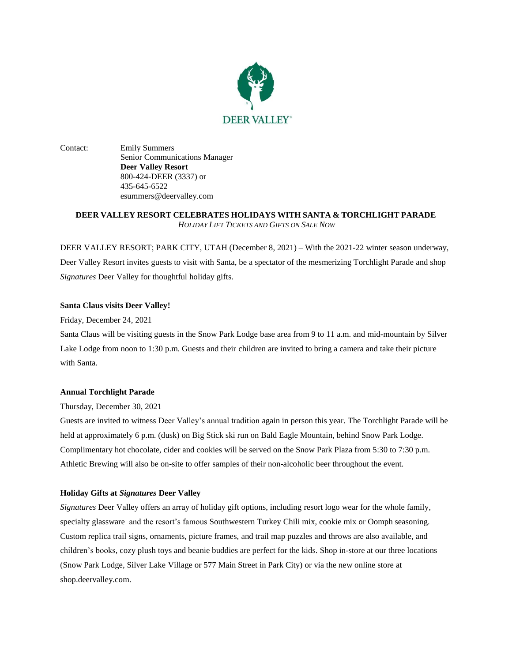

Contact: Emily Summers Senior Communications Manager **Deer Valley Resort** 800-424-DEER (3337) or 435-645-6522 esummers@deervalley.com

# **DEER VALLEY RESORT CELEBRATES HOLIDAYS WITH SANTA & TORCHLIGHT PARADE** *HOLIDAY LIFT TICKETS AND GIFTS ON SALE NOW*

DEER VALLEY RESORT; PARK CITY, UTAH (December 8, 2021) – With the 2021-22 winter season underway, Deer Valley Resort invites guests to visit with Santa, be a spectator of the mesmerizing Torchlight Parade and shop *Signatures* Deer Valley for thoughtful holiday gifts.

## **Santa Claus visits Deer Valley!**

Friday, December 24, 2021

Santa Claus will be visiting guests in the Snow Park Lodge base area from 9 to 11 a.m. and mid-mountain by Silver Lake Lodge from noon to 1:30 p.m. Guests and their children are invited to bring a camera and take their picture with Santa.

### **Annual Torchlight Parade**

Thursday, December 30, 2021

Guests are invited to witness Deer Valley's annual tradition again in person this year. The Torchlight Parade will be held at approximately 6 p.m. (dusk) on Big Stick ski run on Bald Eagle Mountain, behind Snow Park Lodge. Complimentary hot chocolate, cider and cookies will be served on the Snow Park Plaza from 5:30 to 7:30 p.m. Athletic Brewing will also be on-site to offer samples of their non-alcoholic beer throughout the event.

### **Holiday Gifts at** *Signatures* **Deer Valley**

*Signatures* Deer Valley offers an array of holiday gift options, including resort logo wear for the whole family, specialty glassware and the resort's famous Southwestern Turkey Chili mix, cookie mix or Oomph seasoning. Custom replica trail signs, ornaments, picture frames, and trail map puzzles and throws are also available, and children's books, cozy plush toys and beanie buddies are perfect for the kids. Shop in-store at our three locations (Snow Park Lodge, Silver Lake Village or 577 Main Street in Park City) or via the new online store at [shop.deervalley.com.](https://shop.deervalley.com/)